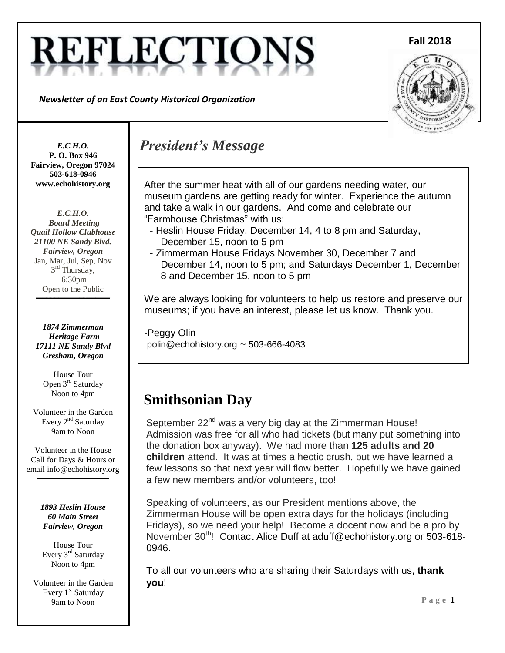# **REFLECTIO**

*Newsletter of an East County Historical Organization*





*E.C.H.O.* **P. O. Box 946 Fairview, Oregon 97024 503-618-0946 www.echohistory.org**

*E.C.H.O. Board Meeting Quail Hollow Clubhouse 21100 NE Sandy Blvd. Fairview, Oregon* Jan, Mar, Jul, Sep, Nov 3<sup>rd</sup> Thursday, 6:30pm Open to the Public

**\_\_\_\_\_\_\_\_\_\_\_\_\_\_\_\_\_\_\_\_\_\_\_\_\_\_\_\_\_\_\_\_\_\_\_\_**

*1874 Zimmerman Heritage Farm 17111 NE Sandy Blvd Gresham, Oregon*

> House Tour Open 3<sup>rd</sup> Saturday Noon to 4pm

Volunteer in the Garden Every 2<sup>nd</sup> Saturday 9am to Noon

Volunteer in the House Call for Days & Hours or email info@echohistory.org

**\_\_\_\_\_\_\_\_\_\_\_\_\_\_\_\_\_\_\_\_\_\_\_\_\_\_\_\_\_\_\_\_\_\_\_**

*1893 Heslin House 60 Main Street Fairview, Oregon*

House Tour Every 3<sup>rd</sup> Saturday Noon to 4pm

Volunteer in the Garden Every 1<sup>st</sup> Saturday 9am to Noon

# *President's Message*

After the summer heat with all of our gardens needing water, our museum gardens are getting ready for winter. Experience the autumn and take a walk in our gardens. And come and celebrate our "Farmhouse Christmas" with us:

- Heslin House Friday, December 14, 4 to 8 pm and Saturday, December 15, noon to 5 pm
- Zimmerman House Fridays November 30, December 7 and December 14, noon to 5 pm; and Saturdays December 1, December 8 and December 15, noon to 5 pm

We are always looking for volunteers to help us restore and preserve our museums; if you have an interest, please let us know. Thank you.

-Peggy Olin polin@echohistory.org ~ 503-666-4083

# **Smithsonian Day**

September  $22^{nd}$  was a very big day at the Zimmerman House! Admission was free for all who had tickets (but many put something into the donation box anyway). We had more than **125 adults and 20 children** attend. It was at times a hectic crush, but we have learned a few lessons so that next year will flow better. Hopefully we have gained a few new members and/or volunteers, too!

Speaking of volunteers, as our President mentions above, the Zimmerman House will be open extra days for the holidays (including Fridays), so we need your help! Become a docent now and be a pro by November 30<sup>th</sup>! Contact Alice Duff at aduff@echohistory.org or 503-618-0946.

To all our volunteers who are sharing their Saturdays with us, **thank you**!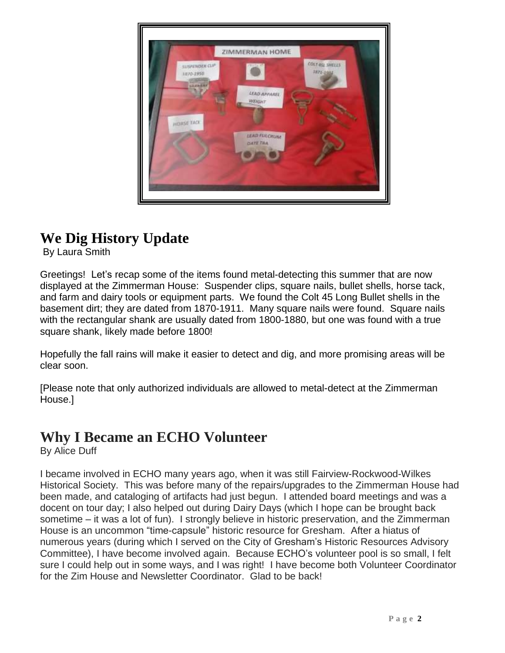

# **We Dig History Update**

By Laura Smith

Greetings! Let's recap some of the items found metal-detecting this summer that are now displayed at the Zimmerman House: Suspender clips, square nails, bullet shells, horse tack, and farm and dairy tools or equipment parts. We found the Colt 45 Long Bullet shells in the basement dirt; they are dated from 1870-1911. Many square nails were found. Square nails with the rectangular shank are usually dated from 1800-1880, but one was found with a true square shank, likely made before 1800!

**.** Hopefully the fall rains will make it easier to detect and dig, and more promising areas will be clear soon.

[Please note that only authorized individuals are allowed to metal-detect at the Zimmerman House.]

#### **Why I Became an ECHO Volunteer**

By Alice Duff

I became involved in ECHO many years ago, when it was still Fairview-Rockwood-Wilkes Historical Society. This was before many of the repairs/upgrades to the Zimmerman House had been made, and cataloging of artifacts had just begun. I attended board meetings and was a docent on tour day; I also helped out during Dairy Days (which I hope can be brought back sometime – it was a lot of fun). I strongly believe in historic preservation, and the Zimmerman House is an uncommon "time-capsule" historic resource for Gresham. After a hiatus of numerous years (during which I served on the City of Gresham's Historic Resources Advisory Committee), I have become involved again. Because ECHO's volunteer pool is so small, I felt sure I could help out in some ways, and I was right! I have become both Volunteer Coordinator for the Zim House and Newsletter Coordinator. Glad to be back!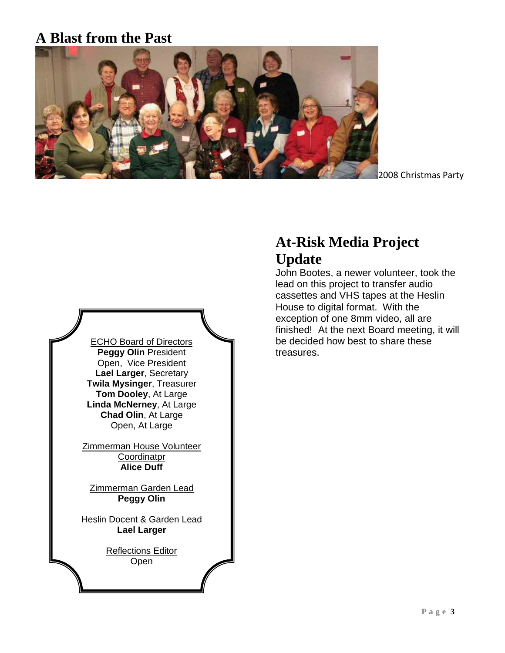#### **A Blast from the Past**



2008 Christmas Party



# **At-Risk Media Project Update**

John Bootes, a newer volunteer, took the lead on this project to transfer audio cassettes and VHS tapes at the Heslin House to digital format. With the exception of one 8mm video, all are finished! At the next Board meeting, it will be decided how best to share these treasures.